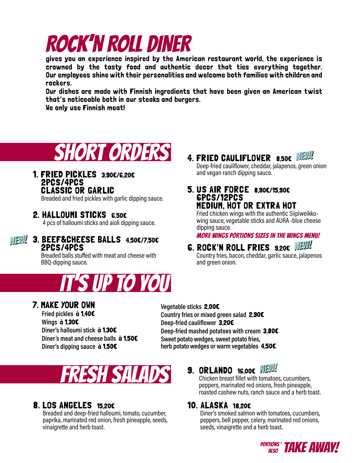# ROCK'N ROLL DINER

gives you an experience inspired by the American restaurant world, the experience is crowned by the tasty food and authentic decor that ties everything together. Our employees shine with their personalities and welcome both families with children and rockers.

Our dishes are made with Finnish ingredients that have been given an American twist that's noticeable both in our steaks and burgers.

We only use Finnish meat!



## 1. FRIED PICKLES 3,90€/6,20€ 2PCS/4PCS<br>CLASSIC OR GARLIC

Breaded and fried pickles with garlic dipping sauce.

## 2. HALLOUMI STICKS 6,50€

4 pcs of halloumi sticks and aioli dipping sauce.

#### NEW! NEW! 3. BEEF&CHEESE BALLS 4,50€/7,50€ 2PCS/4PCS

Breaded balls stuffed with meat and cheese with BBQ-dipping sauce.



## 4. FRIED CAULIFLOWER 8,50€  $\mathbb{N}$ EW!

Deep-fried cauliflower, cheddar, jalapenos, green onion and vegan ranch dipping sauce.

### 5. US AIR FORCE 8,90€/15,90€ 6PCS/12PCS MEDIUM, HOT OR EXTRA HOT

Fried chicken wings with the authentic Siipiweikkowing sauce, vegetable sticks and AURA -blue cheese dipping sauce.

MORE WINGS PORTIONS SIZES IN THE WINGS MENU!

### **G. ROCK'N ROLL FRIES** 9,20€  $MEM$ Country fries, bacon, cheddar, garlic sauce, jalapenos and green onion.

## 7. MAKE YOUR OWN

**Fried pickles** à 1,40€ **Wings** à 1,30€ **Diner's halloumi stick** à 1,30€ **Diner ́s meat and cheese balls** à 1,50€ **Diner's dipping sauce** à 1,50€

**Vegetable sticks** 2,00€ **Country fries or mixed green salad** 2,90€ **Deep-fried cauliflower** 3,20€ **Deep-fried mashed potatoes with cream** 3,80€ **Sweet potato wedges, sweet potato fries, herb potato wedges or warm vegetables** 4,50€



## 8. LOS ANGELES 15.20€

Breaded and deep-fried halloumi, tomato, cucumber, paprika, marinated red onion, fresh pineapple, seeds, vinaigrette and herb toast.

# **9.** ORLANDO 16,006  $\sqrt{3}$  Chicken breast fillet with tomatoes, cucumbers,

peppers, marinated red onions, fresh pineapple, roasted cashew nuts, ranch sauce and a herb toast.

## 10. ALASKA 18,20€

Diner's smoked salmon with tomatoes, cucumbers, peppers, bell pepper, celery, marinated red onions, seeds, vinaigrette and a herb toast.

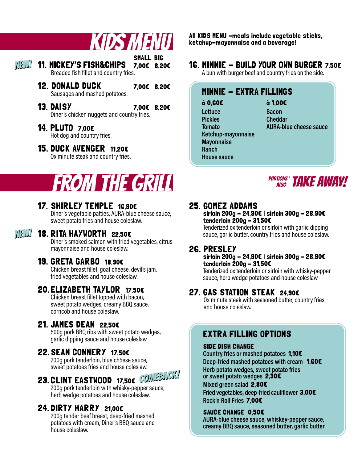| NEW! 11. MICKEY'S FISH&CHIPS 7,00E 8,20E<br>Breaded fish fillet and country fries. | <b>SMALL BIG</b> |  |
|------------------------------------------------------------------------------------|------------------|--|
| <b>12. DONALD DUCK</b><br>Sausages and mashed potatoes.                            | 7,00€ 8,20€      |  |
| <b>13. DAISY</b><br>Diner's chicken nuggets and country fries.                     | 7,00€ 8,20€      |  |
| 14. PLUTO 7,00E<br>Hot dog and country fries.                                      |                  |  |

## 15. DUCK AVENGER 11,20€

Ox minute steak and country fries.

# FROM THE GRILL

## 17. SHIRLEY TEMPLE 16,90€

Diner's vegetable patties, AURA-blue cheese sauce, sweet potato fries and house coleslaw.

#### 18. RITA HAYWORTH 22,50€ NEW! NEW!

Diner's smoked salmon with fried vegetables, citrus mayonnaise and house coleslaw.

## 19. GRETA GARBO 18,90€

Chicken breast fillet, goat cheese, devil's jam, fried vegetables and house coleslaw.

## 20. ELIZABETH TAYLOR 17,50€

Chicken breast fillet topped with bacon, sweet potato wedges, creamy BBQ sauce, corncob and house coleslaw.

## 21. JAMES DEAN 22,50€

500g pork BBQ ribs with sweet potato wedges, garlic dipping sauce and house coleslaw.

## 22. SEAN CONNERY 17,50€

200g pork tenderloin, blue ch5ese sauce, sweet potatoes fries and house coleslaw.

## 23. CLINT EASTWOOD 17,50€ COMEBACK!

200g pork tenderloin with whisky-pepper sauce, herb wedge potatoes and house coleslaw.

## 24. DIRTY HARRY 21,00€

200g tender beef breast, deep-fried mashed potatoes with cream, Diner's BBQ sauce and house coleslaw.

KIDS MENU All KIDS MENU -meals include vegetable sticks,<br>ketchup-mayonnaise and a beverage! ketchup-mayonnaise and a beverage!

## 16. MINNIE - BUILD YOUR OWN BURGER 7.50€

A bun with burger beef and country fries on the side.

## MINNIE - EXTRA FILLINGS

à 0,60€ **Lettuce Pickles Tomato Ketchup-mayonnaise**

**Mayonnaise Ranch House sauce** à 1,00€ **Bacon Cheddar AURA-blue cheese sauce**

PORTIONS**\*** TAKE AWAY!

## 25. GOMEZ ADDAMS

sirloin 200g - 24,90€ | sirloin 300g - 28,90€ tenderloin 200g - 31,50€

Tenderized ox tenderloin or sirloin with garlic dipping sauce, garlic butter, country fries and house coleslaw.

## 26. PRESLEY

sirloin 200g - 24,90€ | sirloin 300g - 28,90€ tenderloin  $\textbf{200q} - \textbf{31,50E}$ 

Tenderized ox tenderloin or sirloin with whisky-pepper sauce, herb wedge potatoes and house coleslaw.

## 27. GAS STATION STEAK 24,90€

Ox minute steak with seasoned butter, country fries and house coleslaw.

## EXTRA FILLING OPTIONS

### SIDE DISH CHANGE

**Country fries or mashed potatoes** 1,10€ **Deep-fried mashed potatoes with cream** 1,60€ **Herb potato wedges, sweet potato fries or sweet potato wedges** 2,30€ **Mixed green salad** 2,80€ **Fried vegetables, deep-fried cauliflower** 3,00€ **Rock'n Roll Fries** 7,00€

### SAUCE CHANGE 0.50€

**AURA-blue cheese sauce, whiskey-pepper sauce, creamy BBQ sauce, seasoned butter, garlic butter**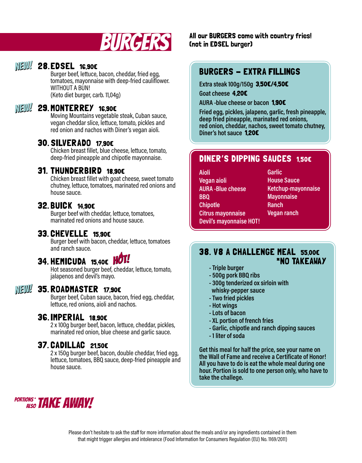

## **NEW! 28. EDSEL 16,906**

Burger beef, lettuce, bacon, cheddar, fried egg, tomatoes, mayonnaise with deep-fried cauliflower. WITHOUT A BUN! (Keto diet burger, carb. 11,04g)

## **NEW! 29. MONTERREY 16,90E**

Moving Mountains vegetable steak, Cuban sauce, vegan cheddar slice, lettuce, tomato, pickles and red onion and nachos with Diner's vegan aioli.

## 30. SILVERADO 17,90€

Chicken breast fillet, blue cheese, lettuce, tomato, deep-fried pineapple and chipotle mayonnaise.

## 31. THUNDERBIRD 18,90€

Chicken breast fillet with goat cheese, sweet tomato chutney, lettuce, tomatoes, marinated red onions and house sauce.

## 32. BUICK 14,90€

Burger beef with cheddar, lettuce, tomatoes, marinated red onions and house sauce.

## 33. CHEVELLE 15,90€

Burger beef with bacon, cheddar, lettuce, tomatoes and ranch sauce.

## 34. HEMICUDA 15,40€

Hot seasoned burger beef, cheddar, lettuce, tomato, jalapenos and devil's mayo.

#### 35. ROADMASTER 17,90€ NEW! NEW!

Burger beef, Cuban sauce, bacon, fried egg, cheddar, lettuce, red onions, aioli and nachos.

## 36. IMPERIAL 18,90€

2 x 100g burger beef, bacon, lettuce, cheddar, pickles, marinated red onion, blue cheese and garlic sauce.

## 37. CADILLAC 21,50€

2 x 150g burger beef, bacon, double cheddar, fried egg, lettuce, tomatoes, BBQ sauce, deep-fried pineapple and house sauce.



**BURGERS** All our BURGERS come with country fries! (not in EDSEL burger)

## BURGERS - EXTRA FILLINGS

**Extra steak 100g/150g** 3,50€/4,50€

**Goat cheese** 4,20€

**AURA -blue cheese or bacon** 1,90€

**Fried egg, pickles, jalapeno, garlic, fresh pineapple, deep fried pineapple, marinated red onions, red onion, cheddar, nachos, sweet tomato chutney, Diner's hot sauce** 1,20€

## DINER'S DIPPING SAUCES 1,50€

**Aioli Vegan aioli AURA -Blue cheese BBQ Chipotle Citrus mayonnaise Devil's mayonnaise HOT!** **Garlic House Sauce Ketchup-mayonnaise Mayonnaise Ranch Vegan ranch** 

## 38. V8 A CHALLENGE MEAL 55,00€ \*NO TAKEAWAY

- **Triple burger**
- **500g pork BBQ ribs**
- **300g tenderized ox sirloin with whisky-pepper sauce**
- **Two fried pickles**
- **Hot wings**
- **Lots of bacon**
- **XL portion of french fries**
- **Garlic, chipotle and ranch dipping sauces**
- **1 liter of soda**

**Get this meal for half the price, see your name on the Wall of Fame and receive a Certificate of Honor! All you have to do is eat the whole meal during one hour. Portion is sold to one person only, who have to take the challege.**